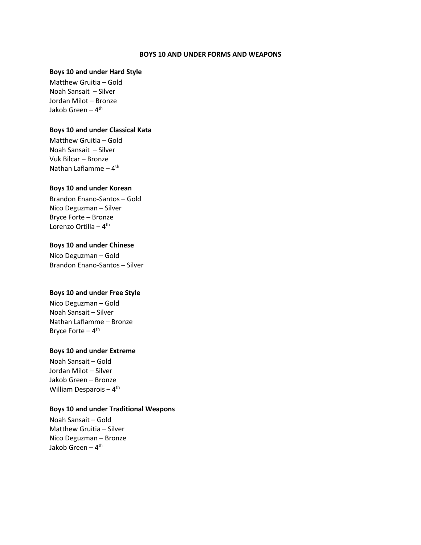#### **BOYS 10 AND UNDER FORMS AND WEAPONS**

#### **Boys 10 and under Hard Style**

Matthew Gruitia – Gold Noah Sansait – Silver Jordan Milot – Bronze Jakob Green <mark>–</mark> 4<sup>th</sup>

#### **Boys 10 and under Classical Kata**

Matthew Gruitia – Gold Noah Sansait – Silver Vuk Bilcar – Bronze Nathan Laflamme – 4<sup>th</sup>

#### **Boys 10 and under Korean**

Brandon Enano-Santos – Gold Nico Deguzman – Silver Bryce Forte – Bronze Lorenzo Ortilla – 4<sup>th</sup>

## **Boys 10 and under Chinese**

Nico Deguzman – Gold Brandon Enano-Santos – Silver

#### **Boys 10 and under Free Style**

Nico Deguzman – Gold Noah Sansait – Silver Nathan Laflamme – Bronze Bryce Forte – 4<sup>th</sup>

## **Boys 10 and under Extreme**

Noah Sansait – Gold Jordan Milot – Silver Jakob Green – Bronze William Desparois – 4<sup>th</sup>

### **Boys 10 and under Traditional Weapons**

Noah Sansait – Gold Matthew Gruitia – Silver Nico Deguzman – Bronze Jakob Green – 4<sup>th</sup>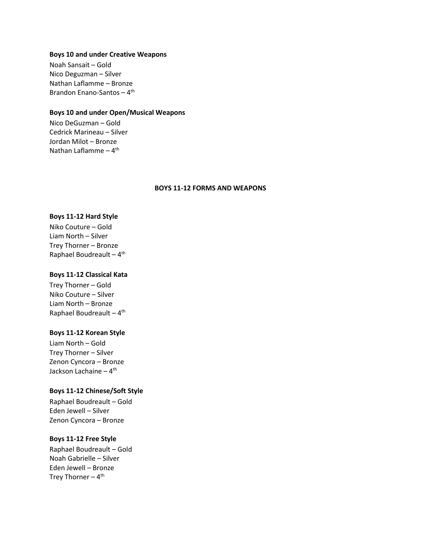#### **Boys 10 and under Creative Weapons**

Noah Sansait – Gold Nico Deguzman – Silver Nathan Laflamme – Bronze Brandon Enano-Santos – 4<sup>th</sup>

## **Boys 10 and under Open/Musical Weapons**

Nico DeGuzman – Gold Cedrick Marineau – Silver Jordan Milot – Bronze Nathan Laflamme – 4<sup>th</sup>

#### **BOYS 11-12 FORMS AND WEAPONS**

#### **Boys 11-12 Hard Style**

Niko Couture – Gold Liam North – Silver Trey Thorner – Bronze Raphael Boudreault - 4<sup>th</sup>

#### **Boys 11-12 Classical Kata**

Trey Thorner – Gold Niko Couture – Silver Liam North – Bronze Raphael Boudreault - 4<sup>th</sup>

# **Boys 11-12 Korean Style**

Liam North – Gold Trey Thorner – Silver Zenon Cyncora – Bronze Jackson Lachaine <mark>–</mark> 4<sup>th</sup>

#### **Boys 11-12 Chinese/Soft Style**

Raphael Boudreault – Gold Eden Jewell – Silver Zenon Cyncora – Bronze

## **Boys 11-12 Free Style**

Raphael Boudreault – Gold Noah Gabrielle – Silver Eden Jewell – Bronze Trey Thorner – 4<sup>th</sup>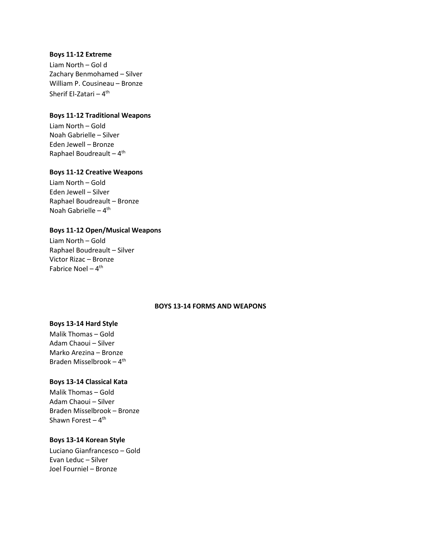#### **Boys 11-12 Extreme**

Liam North – Gol d Zachary Benmohamed – Silver William P. Cousineau – Bronze Sherif El-Zatari <mark>–</mark> 4<sup>th</sup>

## **Boys 11-12 Traditional Weapons**

Liam North – Gold Noah Gabrielle – Silver Eden Jewell – Bronze Raphael Boudreault – 4<sup>th</sup>

#### **Boys 11-12 Creative Weapons**

Liam North – Gold Eden Jewell – Silver Raphael Boudreault – Bronze Noah Gabrielle – 4<sup>th</sup>

## **Boys 11-12 Open/Musical Weapons**

Liam North – Gold Raphael Boudreault – Silver Victor Rizac – Bronze Fabrice Noel – 4<sup>th</sup>

## **BOYS 13-14 FORMS AND WEAPONS**

#### **Boys 13-14 Hard Style**

Malik Thomas – Gold Adam Chaoui – Silver Marko Arezina – Bronze Braden Misselbrook - 4<sup>th</sup>

# **Boys 13-14 Classical Kata**

Malik Thomas – Gold Adam Chaoui – Silver Braden Misselbrook – Bronze Shawn Forest – 4<sup>th</sup>

## **Boys 13-14 Korean Style**

Luciano Gianfrancesco – Gold Evan Leduc – Silver Joel Fourniel – Bronze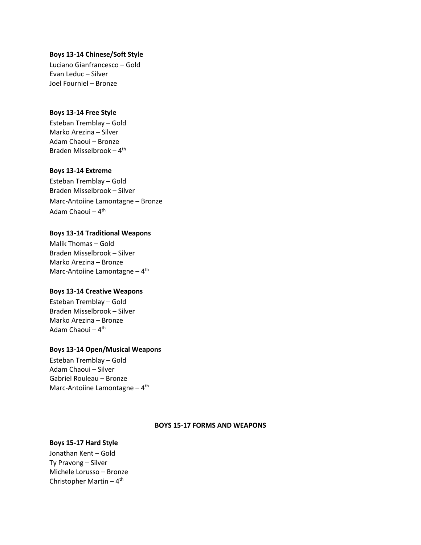## **Boys 13-14 Chinese/Soft Style**

Luciano Gianfrancesco – Gold Evan Leduc – Silver Joel Fourniel – Bronze

# **Boys 13-14 Free Style**

Esteban Tremblay – Gold Marko Arezina – Silver Adam Chaoui – Bronze Braden Misselbrook - 4<sup>th</sup>

## **Boys 13-14 Extreme**

Esteban Tremblay – Gold Braden Misselbrook – Silver Marc-Antoiine Lamontagne – Bronze Adam Chaoui – 4<sup>th</sup>

# **Boys 13-14 Traditional Weapons**

Malik Thomas – Gold Braden Misselbrook – Silver Marko Arezina – Bronze Marc-Antoiine Lamontagne - 4<sup>th</sup>

# **Boys 13-14 Creative Weapons**

Esteban Tremblay – Gold Braden Misselbrook – Silver Marko Arezina – Bronze Adam Chaoui <mark>–</mark> 4<sup>th</sup>

# **Boys 13-14 Open/Musical Weapons**

Esteban Tremblay – Gold Adam Chaoui – Silver Gabriel Rouleau – Bronze Marc-Antoiine Lamontagne - 4<sup>th</sup>

# **BOYS 15-17 FORMS AND WEAPONS**

# **Boys 15-17 Hard Style**

Jonathan Kent – Gold Ty Pravong – Silver Michele Lorusso – Bronze Christopher Martin – 4<sup>th</sup>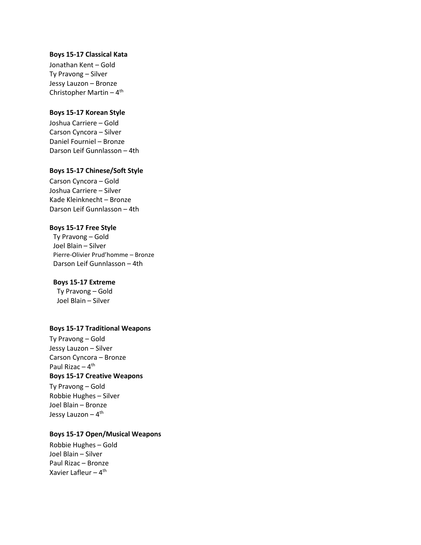#### **Boys 15-17 Classical Kata**

Jonathan Kent – Gold Ty Pravong – Silver Jessy Lauzon – Bronze Christopher Martin – 4<sup>th</sup>

#### **Boys 15-17 Korean Style**

Joshua Carriere – Gold Carson Cyncora – Silver Daniel Fourniel – Bronze Darson Leif Gunnlasson – 4th

### **Boys 15-17 Chinese/Soft Style**

Carson Cyncora – Gold Joshua Carriere – Silver Kade Kleinknecht – Bronze Darson Leif Gunnlasson – 4th

#### **Boys 15-17 Free Style**

Ty Pravong – Gold Joel Blain – Silver Pierre-Olivier Prud'homme – Bronze Darson Leif Gunnlasson – 4th

#### **Boys 15-17 Extreme**

Ty Pravong – Gold Joel Blain – Silver

#### **Boys 15-17 Traditional Weapons**

Ty Pravong – Gold Jessy Lauzon – Silver Carson Cyncora – Bronze Paul Rizac – 4<sup>th</sup> **Boys 15-17 Creative Weapons**

Ty Pravong – Gold Robbie Hughes – Silver Joel Blain – Bronze Jessy Lauzon – 4<sup>th</sup>

## **Boys 15-17 Open/Musical Weapons**

Robbie Hughes – Gold Joel Blain – Silver Paul Rizac – Bronze Xavier Lafleur – 4<sup>th</sup>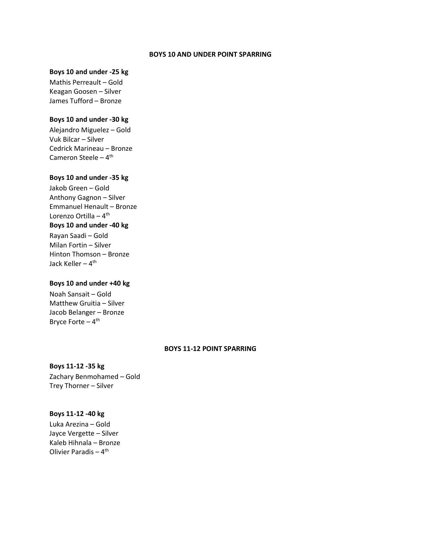#### **BOYS 10 AND UNDER POINT SPARRING**

# **Boys 10 and under -25 kg**

Mathis Perreault – Gold Keagan Goosen – Silver James Tufford – Bronze

#### **Boys 10 and under -30 kg**

Alejandro Miguelez – Gold Vuk Bilcar – Silver Cedrick Marineau – Bronze Cameron Steele – 4<sup>th</sup>

## **Boys 10 and under -35 kg**

Jakob Green – Gold Anthony Gagnon – Silver Emmanuel Henault – Bronze Lorenzo Ortilla – 4<sup>th</sup> **Boys 10 and under -40 kg**  Rayan Saadi – Gold

Milan Fortin – Silver Hinton Thomson – Bronze Jack Keller – 4<sup>th</sup>

## **Boys 10 and under +40 kg**

Noah Sansait – Gold Matthew Gruitia – Silver Jacob Belanger – Bronze Bryce Forte – 4<sup>th</sup>

#### **BOYS 11-12 POINT SPARRING**

**Boys 11-12 -35 kg**  Zachary Benmohamed – Gold Trey Thorner – Silver

#### **Boys 11-12 -40 kg**

Luka Arezina – Gold Jayce Vergette – Silver Kaleb Hihnala – Bronze Olivier Paradis – 4<sup>th</sup>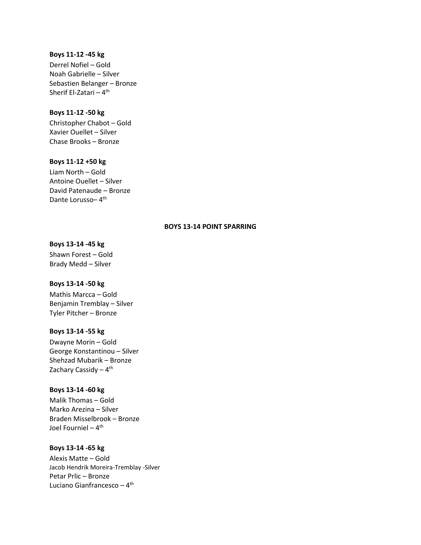#### **Boys 11-12 -45 kg**

Derrel Nofiel – Gold Noah Gabrielle – Silver Sebastien Belanger – Bronze Sherif El-Zatari <mark>–</mark> 4<sup>th</sup>

## **Boys 11-12 -50 kg**

Christopher Chabot – Gold Xavier Ouellet – Silver Chase Brooks – Bronze

#### **Boys 11-12 +50 kg**

Liam North – Gold Antoine Ouellet – Silver David Patenaude – Bronze Dante Lorusso-4<sup>th</sup>

# **BOYS 13-14 POINT SPARRING**

# **Boys 13-14 -45 kg**

Shawn Forest – Gold Brady Medd – Silver

# **Boys 13-14 -50 kg**

Mathis Marcca – Gold Benjamin Tremblay – Silver Tyler Pitcher – Bronze

#### **Boys 13-14 -55 kg**

Dwayne Morin – Gold George Konstantinou – Silver Shehzad Mubarik – Bronze Zachary Cassidy – 4<sup>th</sup>

# **Boys 13-14 -60 kg**

Malik Thomas – Gold Marko Arezina – Silver Braden Misselbrook – Bronze Joel Fourniel <mark>–</mark> 4<sup>th</sup>

## **Boys 13-14 -65 kg**

Alexis Matte – Gold Jacob Hendrik Moreira-Tremblay -Silver Petar Prlic – Bronze Luciano Gianfrancesco – 4<sup>th</sup>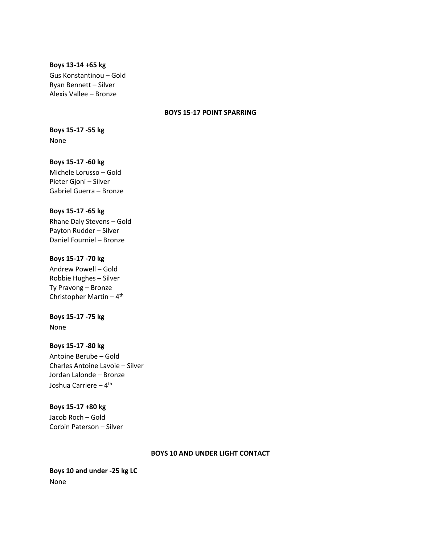#### **Boys 13-14 +65 kg**

Gus Konstantinou – Gold Ryan Bennett – Silver Alexis Vallee – Bronze

## **BOYS 15-17 POINT SPARRING**

# **Boys 15-17 -55 kg** None

# **Boys 15-17 -60 kg**

Michele Lorusso – Gold Pieter Gjoni – Silver Gabriel Guerra – Bronze

# **Boys 15-17 -65 kg**

Rhane Daly Stevens – Gold Payton Rudder – Silver Daniel Fourniel – Bronze

# **Boys 15-17 -70 kg**

Andrew Powell – Gold Robbie Hughes – Silver Ty Pravong – Bronze Christopher Martin – 4<sup>th</sup>

# **Boys 15-17 -75 kg**

None

# **Boys 15-17 -80 kg**

Antoine Berube – Gold Charles Antoine Lavoie – Silver Jordan Lalonde – Bronze Joshua Carriere – 4<sup>th</sup>

# **Boys 15-17 +80 kg**

Jacob Roch – Gold Corbin Paterson – Silver

#### **BOYS 10 AND UNDER LIGHT CONTACT**

**Boys 10 and under -25 kg LC** None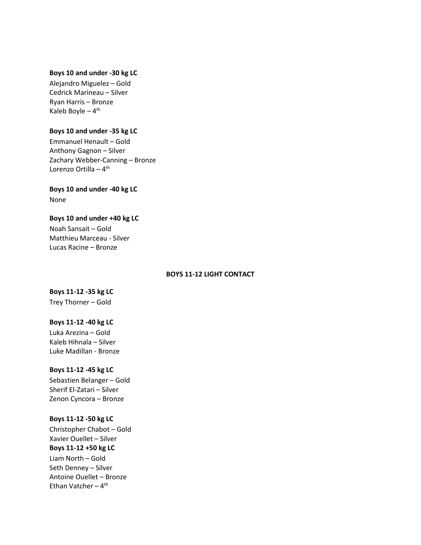### **Boys 10 and under -30 kg LC**

Alejandro Miguelez – Gold Cedrick Marineau – Silver Ryan Harris – Bronze Kaleb Boyle – 4<sup>th</sup>

#### **Boys 10 and under -35 kg LC**

Emmanuel Henault – Gold Anthony Gagnon – Silver Zachary Webber-Canning – Bronze Lorenzo Ortilla – 4<sup>th</sup>

# **Boys 10 and under -40 kg LC**

None

#### **Boys 10 and under +40 kg LC**

Noah Sansait – Gold Matthieu Marceau - Silver Lucas Racine – Bronze

#### **BOYS 11-12 LIGHT CONTACT**

# **Boys 11-12 -35 kg LC**

Trey Thorner – Gold

# **Boys 11-12 -40 kg LC**

Luka Arezina – Gold Kaleb Hihnala – Silver Luke Madillan - Bronze

## **Boys 11-12 -45 kg LC**

Sebastien Belanger – Gold Sherif El-Zatari – Silver Zenon Cyncora – Bronze

## **Boys 11-12 -50 kg LC**

Christopher Chabot – Gold Xavier Ouellet – Silver **Boys 11-12 +50 kg LC** Liam North – Gold Seth Denney – Silver Antoine Ouellet – Bronze Ethan Vatcher – 4<sup>th</sup>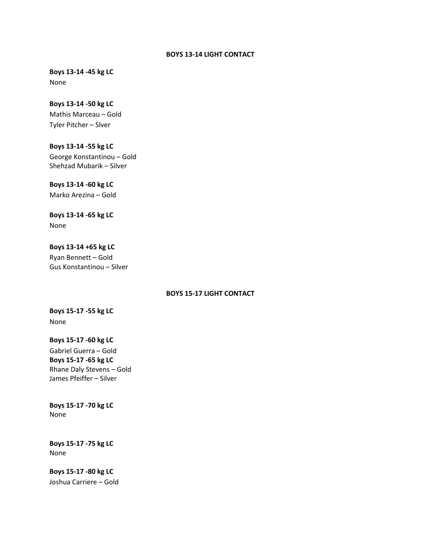### **BOYS 13-14 LIGHT CONTACT**

**Boys 13-14 -45 kg LC** None

**Boys 13-14 -50 kg LC** Mathis Marceau – Gold Tyler Pitcher – Slver

**Boys 13-14 -55 kg LC** George Konstantinou – Gold Shehzad Mubarik – Silver

**Boys 13-14 -60 kg LC** Marko Arezina – Gold

**Boys 13-14 -65 kg LC** None

**Boys 13-14 +65 kg LC** Ryan Bennett – Gold Gus Konstantinou – Silver

## **BOYS 15-17 LIGHT CONTACT**

**Boys 15-17 -55 kg LC** None

**Boys 15-17 -60 kg LC** Gabriel Guerra – Gold **Boys 15-17 -65 kg LC** Rhane Daly Stevens – Gold James Pfeiffer – Silver

**Boys 15-17 -70 kg LC** None

**Boys 15-17 -75 kg LC** None

**Boys 15-17 -80 kg LC** Joshua Carriere – Gold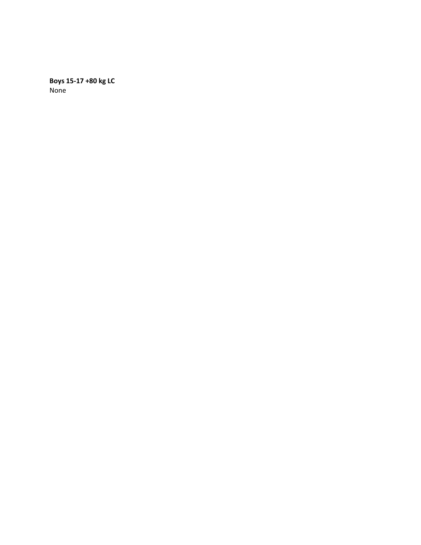**Boys 15-17 +80 kg LC** None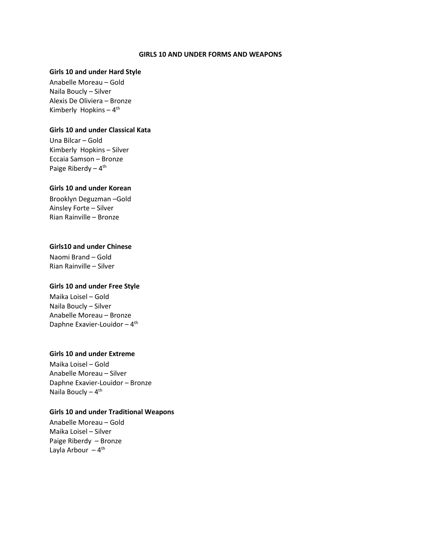#### **GIRLS 10 AND UNDER FORMS AND WEAPONS**

#### **Girls 10 and under Hard Style**

Anabelle Moreau – Gold Naila Boucly – Silver Alexis De Oliviera – Bronze Kimberly Hopkins - 4<sup>th</sup>

## **Girls 10 and under Classical Kata**

Una Bilcar – Gold Kimberly Hopkins – Silver Eccaia Samson – Bronze Paige Riberdy – 4<sup>th</sup>

#### **Girls 10 and under Korean**

Brooklyn Deguzman –Gold Ainsley Forte – Silver Rian Rainville – Bronze

# **Girls10 and under Chinese**

Naomi Brand – Gold Rian Rainville – Silver

#### **Girls 10 and under Free Style**

Maika Loisel – Gold Naila Boucly – Silver Anabelle Moreau – Bronze Daphne Exavier-Louidor - 4<sup>th</sup>

# **Girls 10 and under Extreme**

Maika Loisel – Gold Anabelle Moreau – Silver Daphne Exavier-Louidor – Bronze Naila Boucly – 4<sup>th</sup>

#### **Girls 10 and under Traditional Weapons**

Anabelle Moreau – Gold Maika Loisel – Silver Paige Riberdy – Bronze Layla Arbour – 4<sup>th</sup>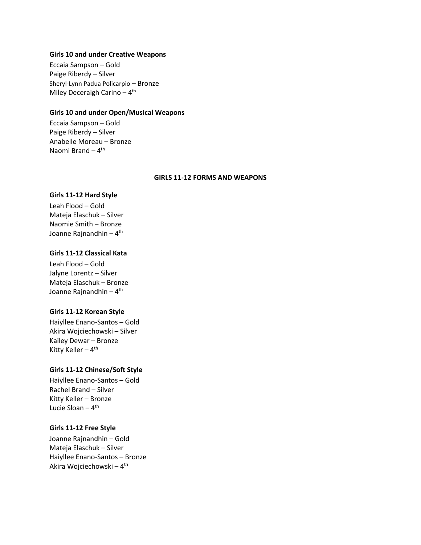#### **Girls 10 and under Creative Weapons**

Eccaia Sampson – Gold Paige Riberdy – Silver Sheryl-Lynn Padua Policarpio – Bronze Miley Deceraigh Carino - 4<sup>th</sup>

#### **Girls 10 and under Open/Musical Weapons**

Eccaia Sampson – Gold Paige Riberdy – Silver Anabelle Moreau – Bronze Naomi Brand – 4<sup>th</sup>

#### **GIRLS 11-12 FORMS AND WEAPONS**

#### **Girls 11-12 Hard Style**

Leah Flood – Gold Mateja Elaschuk – Silver Naomie Smith – Bronze Joanne Rajnandhin – 4<sup>th</sup>

# **Girls 11-12 Classical Kata**

Leah Flood – Gold Jalyne Lorentz – Silver Mateja Elaschuk – Bronze Joanne Rajnandhin – 4<sup>th</sup>

#### **Girls 11-12 Korean Style**

Haiyllee Enano-Santos – Gold Akira Wojciechowski – Silver Kailey Dewar – Bronze Kitty Keller – 4<sup>th</sup>

## **Girls 11-12 Chinese/Soft Style**

Haiyllee Enano-Santos – Gold Rachel Brand – Silver Kitty Keller – Bronze Lucie Sloan – 4<sup>th</sup>

## **Girls 11-12 Free Style**

Joanne Rajnandhin – Gold Mateja Elaschuk – Silver Haiyllee Enano-Santos – Bronze Akira Wojciechowski – 4<sup>th</sup>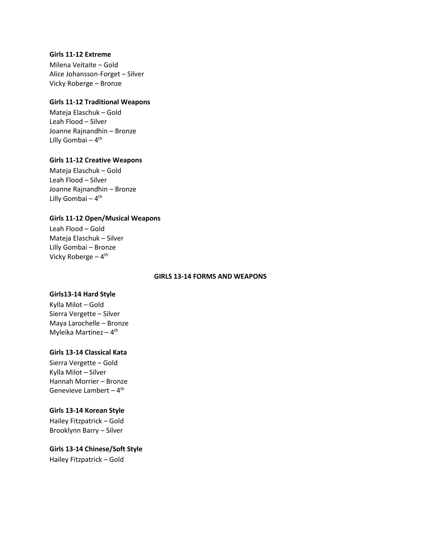#### **Girls 11-12 Extreme**

Milena Veitaite – Gold Alice Johansson-Forget – Silver Vicky Roberge – Bronze

## **Girls 11-12 Traditional Weapons**

Mateja Elaschuk – Gold Leah Flood – Silver Joanne Rajnandhin – Bronze Lilly Gombai – 4<sup>th</sup>

## **Girls 11-12 Creative Weapons**

Mateja Elaschuk – Gold Leah Flood – Silver Joanne Rajnandhin – Bronze Lilly Gombai – 4<sup>th</sup>

# **Girls 11-12 Open/Musical Weapons**

Leah Flood – Gold Mateja Elaschuk – Silver Lilly Gombai – Bronze Vicky Roberge – 4<sup>th</sup>

## **GIRLS 13-14 FORMS AND WEAPONS**

# **Girls13-14 Hard Style**

Kylla Milot – Gold Sierra Vergette – Silver Maya Larochelle – Bronze Myleika Martinez – 4<sup>th</sup>

#### **Girls 13-14 Classical Kata**

Sierra Vergette – Gold Kylla Milot – Silver Hannah Morrier – Bronze Genevieve Lambert – 4<sup>th</sup>

#### **Girls 13-14 Korean Style**

Hailey Fitzpatrick – Gold Brooklynn Barry – Silver

# **Girls 13-14 Chinese/Soft Style**

Hailey Fitzpatrick – Gold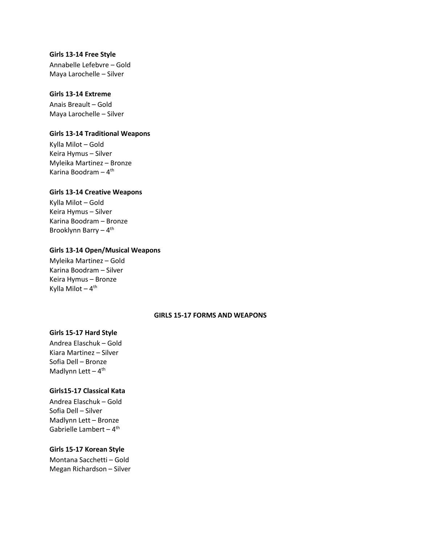#### **Girls 13-14 Free Style**

Annabelle Lefebvre – Gold Maya Larochelle – Silver

## **Girls 13-14 Extreme**

Anais Breault – Gold Maya Larochelle – Silver

## **Girls 13-14 Traditional Weapons**

Kylla Milot – Gold Keira Hymus – Silver Myleika Martinez – Bronze Karina Boodram – 4<sup>th</sup>

#### **Girls 13-14 Creative Weapons**

Kylla Milot – Gold Keira Hymus – Silver Karina Boodram – Bronze Brooklynn Barry – 4<sup>th</sup>

#### **Girls 13-14 Open/Musical Weapons**

Myleika Martinez – Gold Karina Boodram – Silver Keira Hymus – Bronze Kylla Milot – 4<sup>th</sup>

# **GIRLS 15-17 FORMS AND WEAPONS**

# **Girls 15-17 Hard Style**

Andrea Elaschuk – Gold Kiara Martinez – Silver Sofia Dell – Bronze Madlynn Lett - 4<sup>th</sup>

#### **Girls15-17 Classical Kata**

Andrea Elaschuk – Gold Sofia Dell – Silver Madlynn Lett – Bronze Gabrielle Lambert – 4<sup>th</sup>

#### **Girls 15-17 Korean Style**

Montana Sacchetti – Gold Megan Richardson – Silver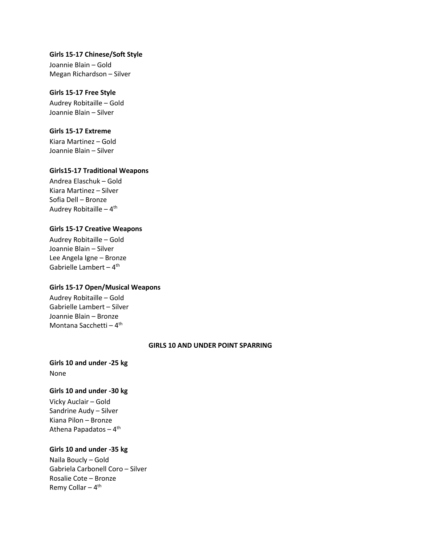## **Girls 15-17 Chinese/Soft Style**

Joannie Blain – Gold Megan Richardson – Silver

## **Girls 15-17 Free Style**

Audrey Robitaille – Gold Joannie Blain – Silver

## **Girls 15-17 Extreme**

Kiara Martinez – Gold Joannie Blain – Silver

## **Girls15-17 Traditional Weapons**

Andrea Elaschuk – Gold Kiara Martinez – Silver Sofia Dell – Bronze Audrey Robitaille – 4<sup>th</sup>

# **Girls 15-17 Creative Weapons**

Audrey Robitaille – Gold Joannie Blain – Silver Lee Angela Igne – Bronze Gabrielle Lambert – 4<sup>th</sup>

# **Girls 15-17 Open/Musical Weapons**

Audrey Robitaille – Gold Gabrielle Lambert – Silver Joannie Blain – Bronze Montana Sacchetti – 4<sup>th</sup>

#### **GIRLS 10 AND UNDER POINT SPARRING**

**Girls 10 and under -25 kg**  None

# **Girls 10 and under -30 kg**

Vicky Auclair – Gold Sandrine Audy – Silver Kiana Pilon – Bronze Athena Papadatos – 4<sup>th</sup>

#### **Girls 10 and under -35 kg**

Naila Boucly – Gold Gabriela Carbonell Coro – Silver Rosalie Cote – Bronze Remy Collar – 4<sup>th</sup>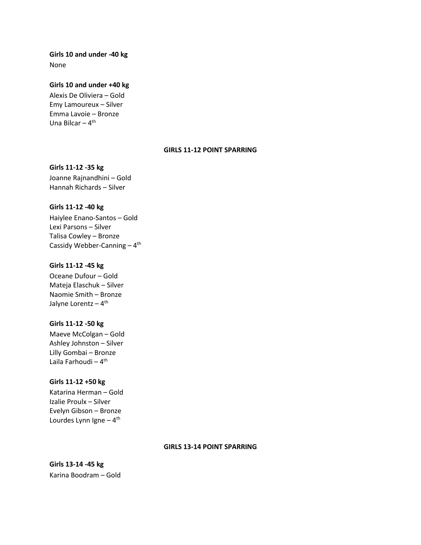# **Girls 10 and under -40 kg**  None

#### **Girls 10 and under +40 kg**

Alexis De Oliviera – Gold Emy Lamoureux – Silver Emma Lavoie – Bronze Una Bilcar – 4<sup>th</sup>

#### **GIRLS 11-12 POINT SPARRING**

## **Girls 11-12 -35 kg**

Joanne Rajnandhini – Gold Hannah Richards – Silver

## **Girls 11-12 -40 kg**

Haiylee Enano-Santos – Gold Lexi Parsons – Silver Talisa Cowley – Bronze Cassidy Webber-Canning - 4<sup>th</sup>

## **Girls 11-12 -45 kg**

Oceane Dufour – Gold Mateja Elaschuk – Silver Naomie Smith – Bronze Jalyne Lorentz – 4<sup>th</sup>

# **Girls 11-12 -50 kg**

Maeve McColgan – Gold Ashley Johnston – Silver Lilly Gombai – Bronze Laila Farhoudi – 4<sup>th</sup>

# **Girls 11-12 +50 kg**

Katarina Herman – Gold Izalie Proulx – Silver Evelyn Gibson – Bronze Lourdes Lynn Igne – 4<sup>th</sup>

#### **GIRLS 13-14 POINT SPARRING**

**Girls 13-14 -45 kg** Karina Boodram – Gold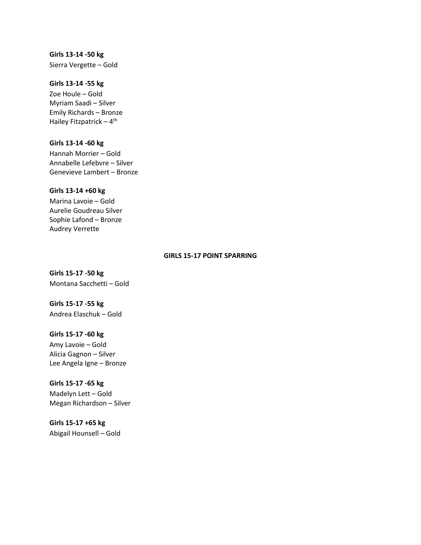**Girls 13-14 -50 kg**  Sierra Vergette – Gold

## **Girls 13-14 -55 kg**

Zoe Houle – Gold Myriam Saadi – Silver Emily Richards – Bronze Hailey Fitzpatrick – 4<sup>th</sup>

# **Girls 13-14 -60 kg**

Hannah Morrier – Gold Annabelle Lefebvre – Silver Genevieve Lambert – Bronze

#### **Girls 13-14 +60 kg**

Marina Lavoie – Gold Aurelie Goudreau Silver Sophie Lafond – Bronze Audrey Verrette

#### **GIRLS 15-17 POINT SPARRING**

**Girls 15-17 -50 kg**  Montana Sacchetti – Gold

**Girls 15-17 -55 kg**  Andrea Elaschuk – Gold

## **Girls 15-17 -60 kg**

Amy Lavoie – Gold Alicia Gagnon – Silver Lee Angela Igne – Bronze

#### **Girls 15-17 -65 kg**

Madelyn Lett – Gold Megan Richardson – Silver

# **Girls 15-17 +65 kg**

Abigail Hounsell – Gold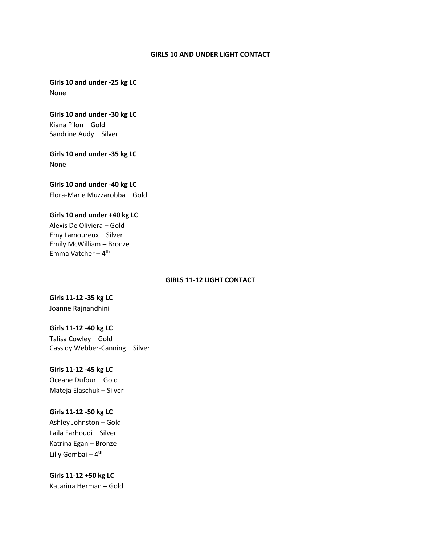#### **GIRLS 10 AND UNDER LIGHT CONTACT**

**Girls 10 and under -25 kg LC** None

**Girls 10 and under -30 kg LC** Kiana Pilon – Gold Sandrine Audy – Silver

**Girls 10 and under -35 kg LC** None

# **Girls 10 and under -40 kg LC**

Flora-Marie Muzzarobba – Gold

## **Girls 10 and under +40 kg LC**

Alexis De Oliviera – Gold Emy Lamoureux – Silver Emily McWilliam – Bronze Emma Vatcher – 4<sup>th</sup>

## **GIRLS 11-12 LIGHT CONTACT**

**Girls 11-12 -35 kg LC** Joanne Rajnandhini

## **Girls 11-12 -40 kg LC**

Talisa Cowley – Gold Cassidy Webber-Canning – Silver

#### **Girls 11-12 -45 kg LC**

Oceane Dufour – Gold Mateja Elaschuk – Silver

#### **Girls 11-12 -50 kg LC**

Ashley Johnston – Gold Laila Farhoudi – Silver Katrina Egan – Bronze Lilly Gombai – 4<sup>th</sup>

**Girls 11-12 +50 kg LC** Katarina Herman – Gold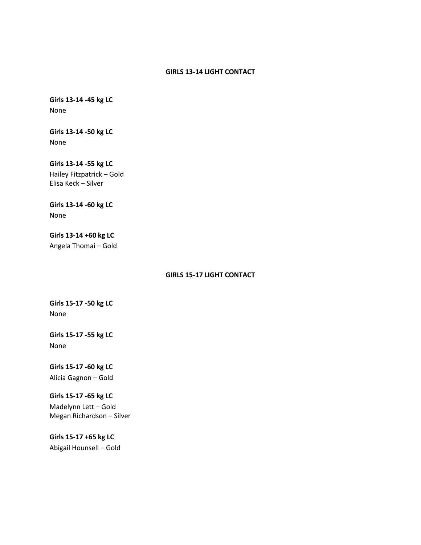## **GIRLS 13-14 LIGHT CONTACT**

**Girls 13-14 -45 kg LC** None

**Girls 13-14 -50 kg LC** None

**Girls 13-14 -55 kg LC** Hailey Fitzpatrick – Gold Elisa Keck – Silver

**Girls 13-14 -60 kg LC** None

**Girls 13-14 +60 kg LC** Angela Thomai – Gold

## **GIRLS 15-17 LIGHT CONTACT**

**Girls 15-17 -50 kg LC** None

**Girls 15-17 -55 kg LC** None

**Girls 15-17 -60 kg LC** Alicia Gagnon – Gold

**Girls 15-17 -65 kg LC** Madelynn Lett – Gold Megan Richardson – Silver

**Girls 15-17 +65 kg LC**  Abigail Hounsell – Gold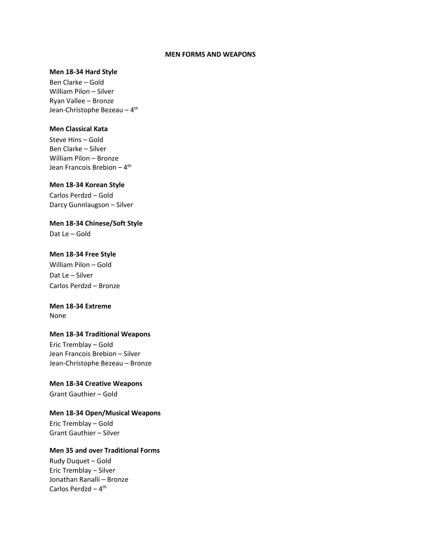#### **MEN FORMS AND WEAPONS**

#### **Men 18-34 Hard Style**

Ben Clarke – Gold William Pilon – Silver Ryan Vallee – Bronze Jean-Christophe Bezeau – 4<sup>th</sup>

## **Men Classical Kata**

Steve Hins – Gold Ben Clarke – Silver William Pilon – Bronze Jean Francois Brebion – 4<sup>th</sup>

## **Men 18-34 Korean Style**

Carlos Perdzd – Gold Darcy Gunnlaugson – Silver

**Men 18-34 Chinese/Soft Style** 

Dat Le – Gold

## **Men 18-34 Free Style**

William Pilon – Gold Dat Le – Silver Carlos Perdzd – Bronze

# **Men 18-34 Extreme**

None

# **Men 18-34 Traditional Weapons**

Eric Tremblay – Gold Jean Francois Brebion – Silver Jean-Christophe Bezeau – Bronze

# **Men 18-34 Creative Weapons**

Grant Gauthier – Gold

# **Men 18-34 Open/Musical Weapons**

Eric Tremblay – Gold Grant Gauthier – Silver

# **Men 35 and over Traditional Forms**

Rudy Duquet – Gold Eric Tremblay – Silver Jonathan Ranalli – Bronze Carlos Perdzd – 4<sup>th</sup>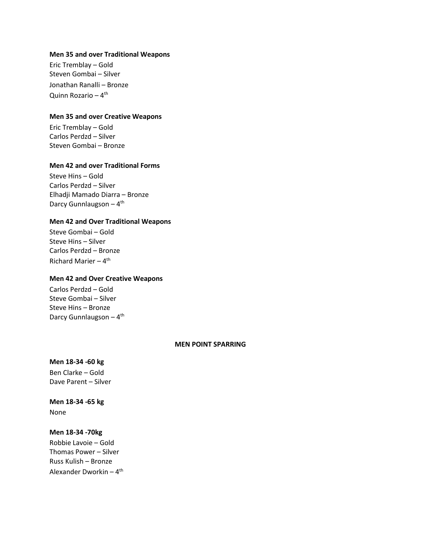#### **Men 35 and over Traditional Weapons**

Eric Tremblay – Gold Steven Gombai – Silver Jonathan Ranalli – Bronze Quinn Rozario – 4<sup>th</sup>

### **Men 35 and over Creative Weapons**

Eric Tremblay – Gold Carlos Perdzd – Silver Steven Gombai – Bronze

#### **Men 42 and over Traditional Forms**

Steve Hins – Gold Carlos Perdzd – Silver Elhadji Mamado Diarra – Bronze Darcy Gunnlaugson - 4<sup>th</sup>

#### **Men 42 and Over Traditional Weapons**

Steve Gombai – Gold Steve Hins – Silver Carlos Perdzd – Bronze Richard Marier – 4<sup>th</sup>

## **Men 42 and Over Creative Weapons**

Carlos Perdzd – Gold Steve Gombai – Silver Steve Hins – Bronze Darcy Gunnlaugson - 4<sup>th</sup>

## **MEN POINT SPARRING**

**Men 18-34 -60 kg**  Ben Clarke – Gold Dave Parent – Silver

**Men 18-34 -65 kg**  None

# **Men 18-34 -70kg**

Robbie Lavoie – Gold Thomas Power – Silver Russ Kulish – Bronze Alexander Dworkin <mark>–</mark> 4<sup>th</sup>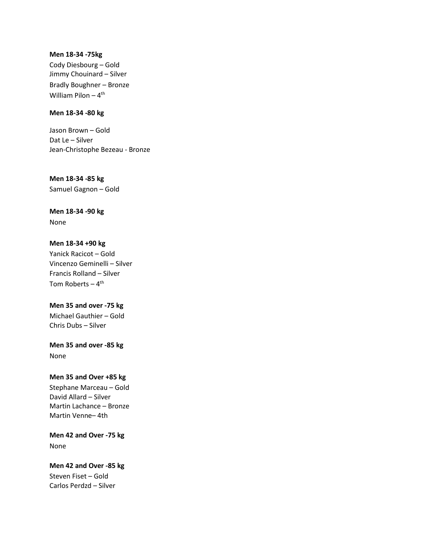#### **Men 18-34 -75kg**

Cody Diesbourg – Gold Jimmy Chouinard – Silver Bradly Boughner – Bronze William Pilon – 4<sup>th</sup>

# **Men 18-34 -80 kg**

Jason Brown – Gold Dat Le – Silver Jean-Christophe Bezeau - Bronze

**Men 18-34 -85 kg** Samuel Gagnon – Gold

# **Men 18-34 -90 kg**

None

# **Men 18-34 +90 kg**

Yanick Racicot – Gold Vincenzo Geminelli – Silver Francis Rolland – Silver Tom Roberts – 4<sup>th</sup>

# **Men 35 and over -75 kg**

Michael Gauthier – Gold Chris Dubs – Silver

# **Men 35 and over -85 kg**  None

# **Men 35 and Over +85 kg**

Stephane Marceau – Gold David Allard – Silver Martin Lachance – Bronze Martin Venne– 4th

**Men 42 and Over -75 kg**  None

# **Men 42 and Over -85 kg**  Steven Fiset – Gold Carlos Perdzd – Silver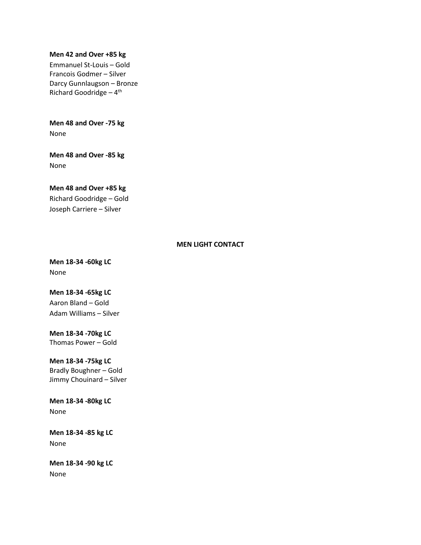#### **Men 42 and Over +85 kg**

Emmanuel St-Louis – Gold Francois Godmer – Silver Darcy Gunnlaugson – Bronze Richard Goodridge - 4<sup>th</sup>

**Men 48 and Over -75 kg** None

**Men 48 and Over -85 kg**  None

**Men 48 and Over +85 kg**  Richard Goodridge – Gold Joseph Carriere – Silver

# **MEN LIGHT CONTACT**

**Men 18-34 -60kg LC**  None

**Men 18-34 -65kg LC** Aaron Bland – Gold Adam Williams – Silver

**Men 18-34 -70kg LC** Thomas Power – Gold

**Men 18-34 -75kg LC** Bradly Boughner – Gold Jimmy Chouinard – Silver

**Men 18-34 -80kg LC** None

**Men 18-34 -85 kg LC**  None

**Men 18-34 -90 kg LC**  None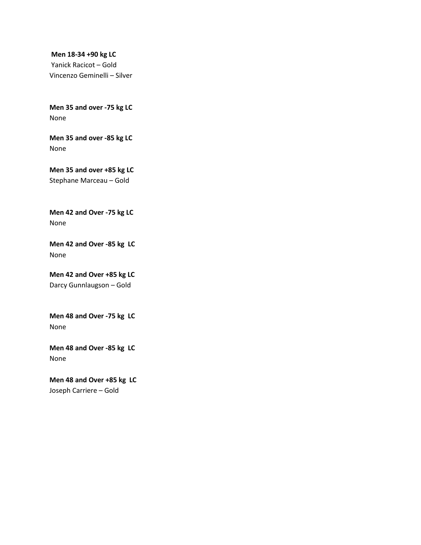**Men 18-34 +90 kg LC**  Yanick Racicot – Gold Vincenzo Geminelli – Silver

**Men 35 and over -75 kg LC**  None

**Men 35 and over -85 kg LC**  None

**Men 35 and over +85 kg LC**  Stephane Marceau – Gold

**Men 42 and Over -75 kg LC**  None

**Men 42 and Over -85 kg LC** None

**Men 42 and Over +85 kg LC**  Darcy Gunnlaugson – Gold

**Men 48 and Over -75 kg LC** None

**Men 48 and Over -85 kg LC** None

**Men 48 and Over +85 kg LC** Joseph Carriere – Gold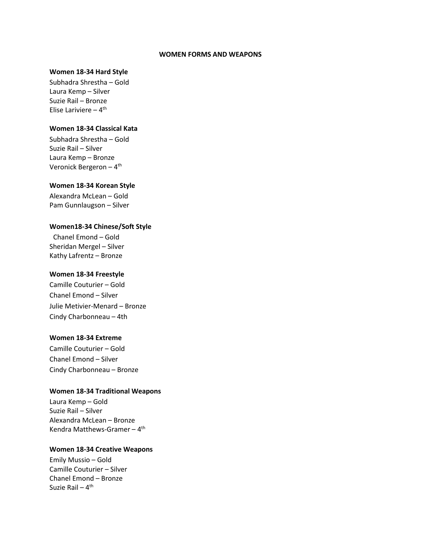#### **WOMEN FORMS AND WEAPONS**

#### **Women 18-34 Hard Style**

Subhadra Shrestha – Gold Laura Kemp – Silver Suzie Rail – Bronze Elise Lariviere – 4<sup>th</sup>

# **Women 18-34 Classical Kata**

Subhadra Shrestha – Gold Suzie Rail – Silver Laura Kemp – Bronze Veronick Bergeron – 4<sup>th</sup>

## **Women 18-34 Korean Style**

Alexandra McLean – Gold Pam Gunnlaugson – Silver

#### **Women18-34 Chinese/Soft Style**

Chanel Emond – Gold Sheridan Mergel – Silver Kathy Lafrentz – Bronze

#### **Women 18-34 Freestyle**

Camille Couturier – Gold Chanel Emond – Silver Julie Metivier-Menard – Bronze Cindy Charbonneau – 4th

#### **Women 18-34 Extreme**

Camille Couturier – Gold Chanel Emond – Silver Cindy Charbonneau – Bronze

#### **Women 18-34 Traditional Weapons**

Laura Kemp – Gold Suzie Rail – Silver Alexandra McLean – Bronze Kendra Matthews-Gramer – 4<sup>th</sup>

#### **Women 18-34 Creative Weapons**

Emily Mussio – Gold Camille Couturier – Silver Chanel Emond – Bronze Suzie Rail – 4<sup>th</sup>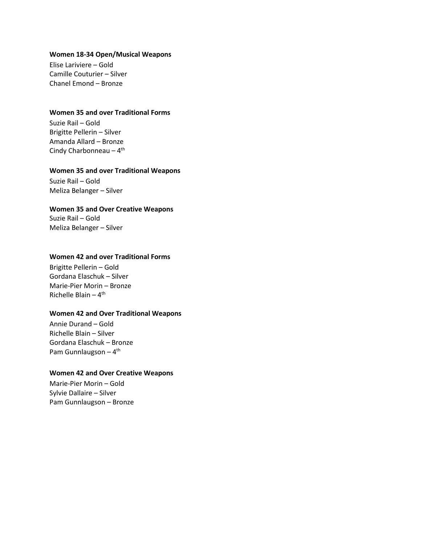#### **Women 18-34 Open/Musical Weapons**

Elise Lariviere – Gold Camille Couturier – Silver Chanel Emond – Bronze

#### **Women 35 and over Traditional Forms**

Suzie Rail – Gold Brigitte Pellerin – Silver Amanda Allard – Bronze Cindy Charbonneau – 4<sup>th</sup>

## **Women 35 and over Traditional Weapons**

Suzie Rail – Gold Meliza Belanger – Silver

#### **Women 35 and Over Creative Weapons**

Suzie Rail – Gold Meliza Belanger – Silver

#### **Women 42 and over Traditional Forms**

Brigitte Pellerin – Gold Gordana Elaschuk – Silver Marie-Pier Morin – Bronze Richelle Blain – 4<sup>th</sup>

#### **Women 42 and Over Traditional Weapons**

Annie Durand – Gold Richelle Blain – Silver Gordana Elaschuk – Bronze Pam Gunnlaugson – 4<sup>th</sup>

#### **Women 42 and Over Creative Weapons**

Marie-Pier Morin – Gold Sylvie Dallaire – Silver Pam Gunnlaugson – Bronze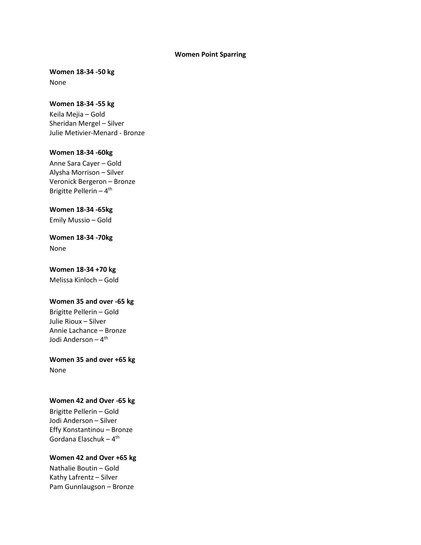#### **Women Point Sparring**

**Women 18-34 -50 kg**  None

**Women 18-34 -55 kg**  Keila Mejia – Gold Sheridan Mergel – Silver Julie Metivier-Menard - Bronze

# **Women 18-34 -60kg**  Anne Sara Cayer – Gold Alysha Morrison – Silver Veronick Bergeron – Bronze Brigitte Pellerin – 4<sup>th</sup>

**Women 18-34 -65kg**  Emily Mussio – Gold

**Women 18-34 -70kg** None

**Women 18-34 +70 kg** Melissa Kinloch – Gold

# **Women 35 and over -65 kg**

Brigitte Pellerin – Gold Julie Rioux – Silver Annie Lachance – Bronze Jodi Anderson <mark>–</mark> 4<sup>th</sup>

**Women 35 and over +65 kg**  None

### **Women 42 and Over -65 kg**

Brigitte Pellerin – Gold Jodi Anderson – Silver Effy Konstantinou – Bronze Gordana Elaschuk – 4<sup>th</sup>

# **Women 42 and Over +65 kg**

Nathalie Boutin – Gold Kathy Lafrentz – Silver Pam Gunnlaugson – Bronze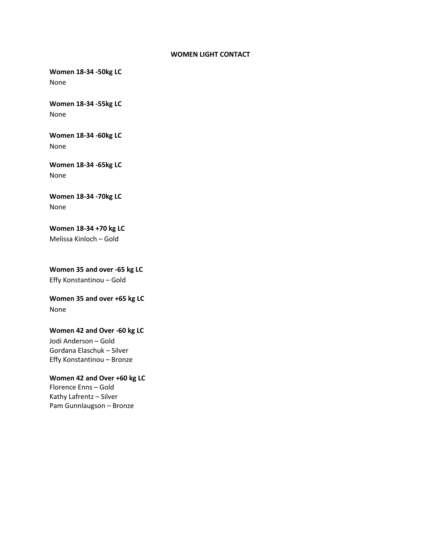#### **WOMEN LIGHT CONTACT**

**Women 18-34 -50kg LC** None

**Women 18-34 -55kg LC** None

**Women 18-34 -60kg LC** None

**Women 18-34 -65kg LC** None

**Women 18-34 -70kg LC** None

**Women 18-34 +70 kg LC** Melissa Kinloch – Gold

**Women 35 and over -65 kg LC**  Effy Konstantinou – Gold

**Women 35 and over +65 kg LC** None

**Women 42 and Over -60 kg LC**  Jodi Anderson – Gold Gordana Elaschuk – Silver Effy Konstantinou – Bronze

**Women 42 and Over +60 kg LC**  Florence Enns – Gold Kathy Lafrentz – Silver Pam Gunnlaugson – Bronze